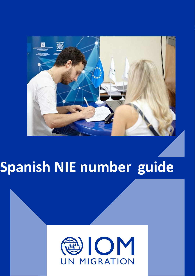

# **Spanish NIE number guide**

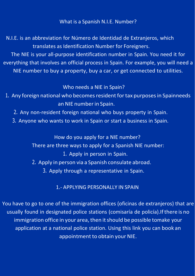What is a Spanish N.I.E. Number?

N.I.E. is an abbreviation for Número de Identidad de Extranjeros, which translates as Identification Number for Foreigners.

The NIE is your all-purpose identification number in Spain. You need it for everything that involves an official process in Spain. For example, you will need a NIE number to buy a property, buy a car, or get connected to utilities.

### Who needs a NIE in Spain?

- 1. Any foreign national who becomes resident for tax purposes in Spainneeds an NIE numberin Spain.
	- 2. Any non-resident foreign national who buys property in Spain.
	- 3. Anyone who wants to work in Spain or start a business in Spain.

How do you apply for a NIE number?

There are three ways to apply for a Spanish NIE number:

1. Apply in person in Spain.

- 2. Apply in person via a Spanish consulate abroad.
	- 3. Apply through a representative in Spain.

## 1.- APPLYING PERSONALLY IN SPAIN

You have to go to one of the immigration offices (oficinas de extranjeros) that are usually found in designated police stations (comisaría de policía).Ifthere is no immigration office in your area, then it should be possible tomake your application at a national police station. Using this link you can book an appointment to obtain your NIE.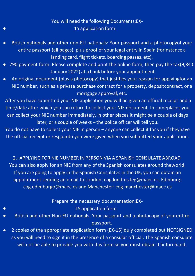## You will need the following Documents[:EX-](https://sede.policia.gob.es/portalCiudadano/extranjeria/EX15.pdf)15 [application](https://sede.policia.gob.es/portalCiudadano/extranjeria/EX15.pdf) form.

- British nationals and other non-EU nationals: Your passport and a photocopyof your  $\bullet$ entire passport (all pages), plus proof of your legal entry in Spain (forinstance a landing card, flight tickets, boarding passes, etc).
- 790 payment form. Please complete and print the online form, then pay the tax(9,84  $\epsilon$  $\bullet$ -January 2022) at a bank before your appointment
- An original document (plus a photocopy) that justifies your reason for applyingfor an  $\bullet$ NIE number, such as a private purchase contract for a property, depositcontract, or a mortgage approval, etc.

After you have submitted your NIE application you will be given an official receipt and a time/date after which you can return to collect your NIE document. In someplaces you can collect your NIE number immediately, in other places it might be a couple of days later, or a couple of weeks – the police officer will tell you.

You do not have to collect your NIE in person – anyone can collect it for you if theyhave the official receipt or resguardo you were given when you submitted your application.

2.- APPLYING FOR NIE NUMBER IN PERSON VIA A SPANISH CONSULATE ABROAD You can also apply for an NIE from any of the Spanish consulates around theworld. If you are going to apply in the Spanish Consulates in the UK, you can obtain an appointment sending an email to London: [cog.londres.leg@maec.es,](mailto:cog.londres.leg@maec.es) Edinburg: [cog.edimburgo@maec.es](mailto:cog.edimburgo@maec.es) and Manchester: [cog.manchester@maec.es](mailto:cog.manchester@maec.es)

Prepare the necessary documentation[:EX-](https://sede.policia.gob.es/portalCiudadano/extranjeria/EX15.pdf)

 $\bullet$ 

 $\bullet$ 

- 15 [application](https://sede.policia.gob.es/portalCiudadano/extranjeria/EX15.pdf) form
- British and other Non-EU nationals: Your passport and a photocopy of yourentire  $\bullet$ passport.
- 2 copies of the appropriate application form (EX-15) duly completed but NOTSIGNED  $\bullet$ as you will need to sign it in the presence of a consular official. The Spanish consulate will not be able to provide you with this form so you must obtain it beforehand.